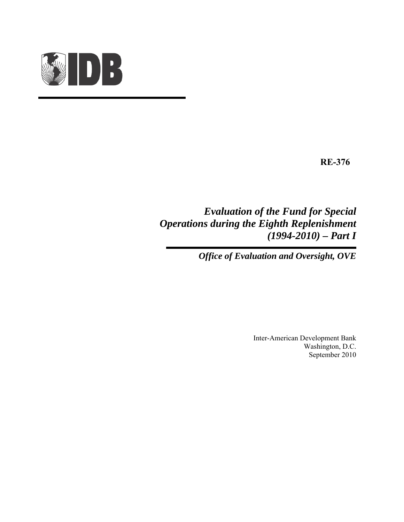

**RE-376**

*Evaluation of the Fund for Special Operations during the Eighth Replenishment (1994-2010) – Part I* 

*Office of Evaluation and Oversight, OVE* 

Inter-American Development Bank Washington, D.C. September 2010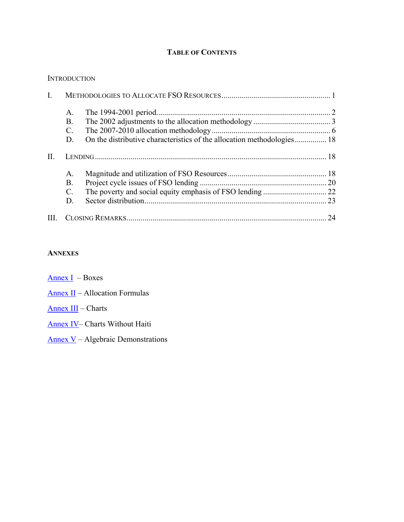# **TABLE OF CONTENTS**

#### **INTRODUCTION**

| $\mathbf{I}$ . |                 |  |    |
|----------------|-----------------|--|----|
|                | $A_{\cdot}$     |  |    |
|                | <b>B.</b>       |  |    |
|                | $\mathcal{C}$ . |  |    |
|                | D.              |  |    |
| H.             |                 |  |    |
|                | $A_{\cdot}$     |  |    |
|                | <b>B</b> .      |  |    |
|                | $\mathcal{C}$ . |  |    |
|                | D.              |  | 23 |
| Ш.             |                 |  | 24 |

#### **ANNEXES**

| – Boxes |
|---------|
|         |

[Annex I](http://idbdocs.iadb.org/wsdocs/getDocument.aspx?DOCNUM=35371024)I – Allocation Formulas

## [Annex III](http://idbdocs.iadb.org/wsdocs/getDocument.aspx?DOCNUM=35371025) – Charts

- [Annex IV](http://idbdocs.iadb.org/wsdocs/getDocument.aspx?DOCNUM=35371026) Charts Without Haiti
- [Annex V](http://idbdocs.iadb.org/wsdocs/getDocument.aspx?DOCNUM=35371022) Algebraic Demonstrations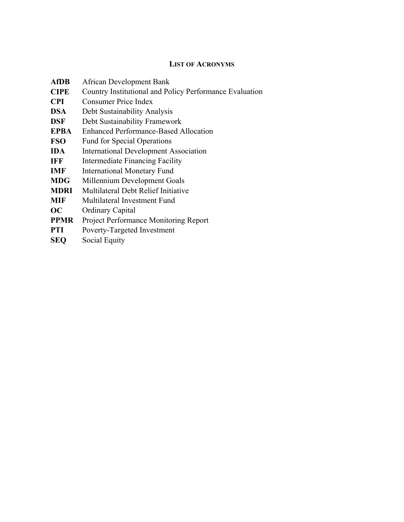## **LIST OF ACRONYMS**

| <b>AfDB</b> | <b>African Development Bank</b>                         |
|-------------|---------------------------------------------------------|
| <b>CIPE</b> | Country Institutional and Policy Performance Evaluation |
| <b>CPI</b>  | Consumer Price Index                                    |
| <b>DSA</b>  | Debt Sustainability Analysis                            |
| <b>DSF</b>  | Debt Sustainability Framework                           |
| <b>EPBA</b> | Enhanced Performance-Based Allocation                   |
| <b>FSO</b>  | <b>Fund for Special Operations</b>                      |
| <b>IDA</b>  | <b>International Development Association</b>            |
| <b>IFF</b>  | <b>Intermediate Financing Facility</b>                  |
| <b>IMF</b>  | <b>International Monetary Fund</b>                      |
| <b>MDG</b>  | Millennium Development Goals                            |
| <b>MDRI</b> | Multilateral Debt Relief Initiative                     |
| <b>MIF</b>  | Multilateral Investment Fund                            |
| OC          | <b>Ordinary Capital</b>                                 |
| <b>PPMR</b> | Project Performance Monitoring Report                   |
| <b>PTI</b>  | Poverty-Targeted Investment                             |
| <b>SEQ</b>  | Social Equity                                           |
|             |                                                         |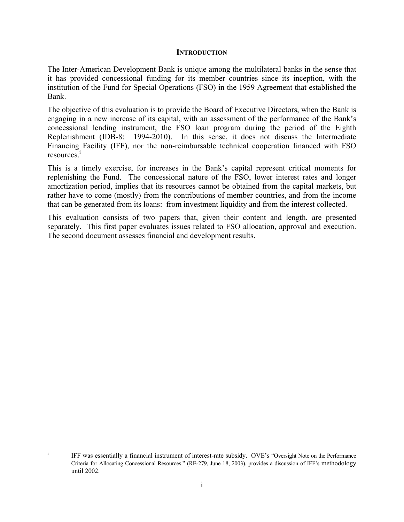#### **INTRODUCTION**

The Inter-American Development Bank is unique among the multilateral banks in the sense that it has provided concessional funding for its member countries since its inception, with the institution of the Fund for Special Operations (FSO) in the 1959 Agreement that established the Bank.

The objective of this evaluation is to provide the Board of Executive Directors, when the Bank is engaging in a new increase of its capital, with an assessment of the performance of the Bank's concessional lending instrument, the FSO loan program during the period of the Eighth Replenishment (IDB-8: 1994-2010). In this sense, it does not discuss the Intermediate Financing Facility (IFF), nor the non-reimbursable technical cooperation financed with FSO resources.<sup>1</sup>

This is a timely exercise, for increases in the Bank's capital represent critical moments for replenishing the Fund. The concessional nature of the FSO, lower interest rates and longer amortization period, implies that its resources cannot be obtained from the capital markets, but rather have to come (mostly) from the contributions of member countries, and from the income that can be generated from its loans: from investment liquidity and from the interest collected.

This evaluation consists of two papers that, given their content and length, are presented separately. This first paper evaluates issues related to FSO allocation, approval and execution. The second document assesses financial and development results.

|<br>i IFF was essentially a financial instrument of interest-rate subsidy. OVE's "Oversight Note on the Performance Criteria for Allocating Concessional Resources." (RE-279, June 18, 2003), provides a discussion of IFF's methodology until 2002.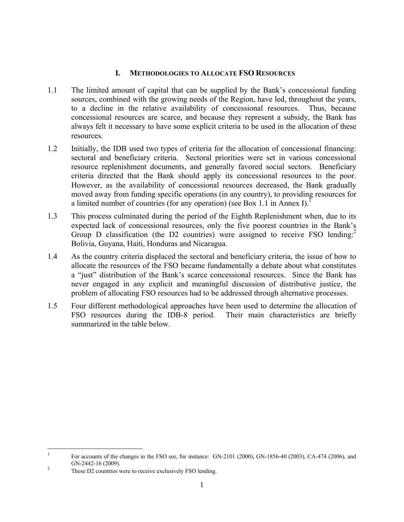### **I. METHODOLOGIES TO ALLOCATE FSO RESOURCES**

- 1.1 The limited amount of capital that can be supplied by the Bank's concessional funding sources, combined with the growing needs of the Region, have led, throughout the years, to a decline in the relative availability of concessional resources. Thus, because concessional resources are scarce, and because they represent a subsidy, the Bank has always felt it necessary to have some explicit criteria to be used in the allocation of these resources.
- 1.2 Initially, the IDB used two types of criteria for the allocation of concessional financing: sectoral and beneficiary criteria. Sectoral priorities were set in various concessional resource replenishment documents, and generally favored social sectors. Beneficiary criteria directed that the Bank should apply its concessional resources to the poor. However, as the availability of concessional resources decreased, the Bank gradually moved away from funding specific operations (in any country), to providing resources for a limited number of countries (for any operation) (see Box 1.1 in Annex I).
- 1.3 This process culminated during the period of the Eighth Replenishment when, due to its expected lack of concessional resources, only the five poorest countries in the Bank's Group D classification (the D2 countries) were assigned to receive FSO lending:<sup>2</sup> Bolivia, Guyana, Haiti, Honduras and Nicaragua.
- 1.4 As the country criteria displaced the sectoral and beneficiary criteria, the issue of how to allocate the resources of the FSO became fundamentally a debate about what constitutes a "just" distribution of the Bank's scarce concessional resources. Since the Bank has never engaged in any explicit and meaningful discussion of distributive justice, the problem of allocating FSO resources had to be addressed through alternative processes.
- 1.5 Four different methodological approaches have been used to determine the allocation of FSO resources during the IDB-8 period. Their main characteristics are briefly summarized in the table below.

 $\frac{1}{1}$  For accounts of the changes in the FSO see, for instance: GN-2101 (2000), GN-1856-40 (2003), CA-474 (2006), and  $GN-2442-16$  (2009).

These D2 countries were to receive exclusively FSO lending.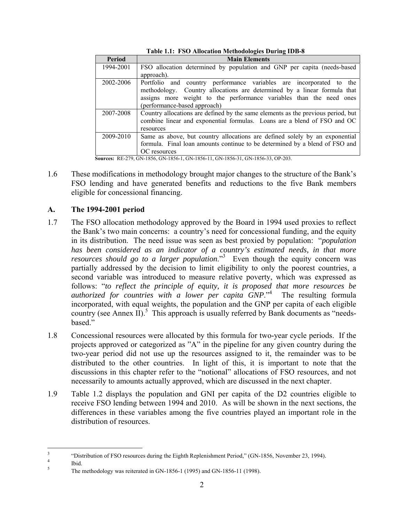| Period    | <b>Main Elements</b>                                                             |  |  |
|-----------|----------------------------------------------------------------------------------|--|--|
| 1994-2001 | FSO allocation determined by population and GNP per capita (needs-based          |  |  |
|           | approach).                                                                       |  |  |
| 2002-2006 | Portfolio and country performance variables are incorporated to<br>the           |  |  |
|           | Country allocations are determined by a linear formula that<br>methodology.      |  |  |
|           | assigns more weight to the performance variables than the need ones              |  |  |
|           | (performance-based approach)                                                     |  |  |
| 2007-2008 | Country allocations are defined by the same elements as the previous period, but |  |  |
|           | combine linear and exponential formulas. Loans are a blend of FSO and OC         |  |  |
|           | resources                                                                        |  |  |
| 2009-2010 | Same as above, but country allocations are defined solely by an exponential      |  |  |
|           | formula. Final loan amounts continue to be determined by a blend of FSO and      |  |  |
|           | OC resources                                                                     |  |  |

**Table 1.1: FSO Allocation Methodologies During IDB-8** 

**Sources:** RE-279, GN-1856, GN-1856-1, GN-1856-11, GN-1856-31, GN-1856-33, OP-203.

1.6 These modifications in methodology brought major changes to the structure of the Bank's FSO lending and have generated benefits and reductions to the five Bank members eligible for concessional financing.

### **A. The 1994-2001 period**

- 1.7 The FSO allocation methodology approved by the Board in 1994 used proxies to reflect the Bank's two main concerns: a country's need for concessional funding, and the equity in its distribution. The need issue was seen as best proxied by population: "*population has been considered as an indicator of a country's estimated needs, in that more resources should go to a larger population*."3 Even though the equity concern was partially addressed by the decision to limit eligibility to only the poorest countries, a second variable was introduced to measure relative poverty, which was expressed as follows: "*to reflect the principle of equity, it is proposed that more resources be authorized for countries with a lower per capita GNP*."<sup>4</sup> The resulting formula incorporated, with equal weights, the population and the GNP per capita of each eligible country (see Annex II).<sup>5</sup> This approach is usually referred by Bank documents as "needsbased."
- 1.8 Concessional resources were allocated by this formula for two-year cycle periods. If the projects approved or categorized as "A" in the pipeline for any given country during the two-year period did not use up the resources assigned to it, the remainder was to be distributed to the other countries. In light of this, it is important to note that the discussions in this chapter refer to the "notional" allocations of FSO resources, and not necessarily to amounts actually approved, which are discussed in the next chapter.
- 1.9 Table 1.2 displays the population and GNI per capita of the D2 countries eligible to receive FSO lending between 1994 and 2010. As will be shown in the next sections, the differences in these variables among the five countries played an important role in the distribution of resources.

 3 "Distribution of FSO resources during the Eighth Replenishment Period," (GN-1856, November 23, 1994).

 $\frac{4}{5}$  Ibid.

The methodology was reiterated in GN-1856-1 (1995) and GN-1856-11 (1998).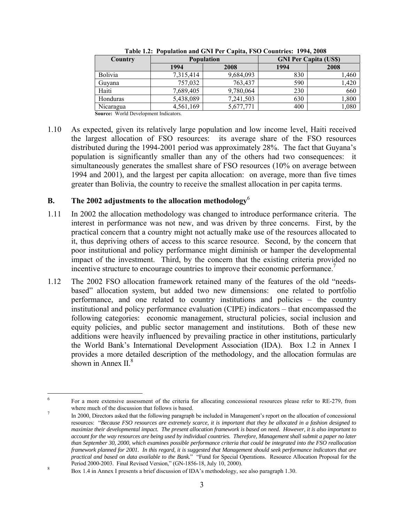| <b>Country</b> |           | <b>Population</b> |      | <b>GNI Per Capita (US\$)</b> |  |
|----------------|-----------|-------------------|------|------------------------------|--|
|                | 1994      | 2008              | 1994 | 2008                         |  |
| <b>Bolivia</b> | 7,315,414 | 9,684,093         | 830  | ,460                         |  |
| Guyana         | 757,032   | 763,437           | 590  | ,420                         |  |
| Haiti          | 7,689,405 | 9,780,064         | 230  | 660                          |  |
| Honduras       | 5,438,089 | 7,241,503         | 630  | 1,800                        |  |
| Nicaragua      | 4,561,169 | 5,677,771         | 400  | 080,1                        |  |

**Table 1.2: Population and GNI Per Capita, FSO Countries: 1994, 2008** 

**Source:** World Development Indicators.

1.10 As expected, given its relatively large population and low income level, Haiti received the largest allocation of FSO resources: its average share of the FSO resources distributed during the 1994-2001 period was approximately 28%. The fact that Guyana's population is significantly smaller than any of the others had two consequences: it simultaneously generates the smallest share of FSO resources (10% on average between 1994 and 2001), and the largest per capita allocation: on average, more than five times greater than Bolivia, the country to receive the smallest allocation in per capita terms.

## **B. The 2002 adjustments to the allocation methodology**<sup>6</sup>

- 1.11 In 2002 the allocation methodology was changed to introduce performance criteria. The interest in performance was not new, and was driven by three concerns. First, by the practical concern that a country might not actually make use of the resources allocated to it, thus depriving others of access to this scarce resource. Second, by the concern that poor institutional and policy performance might diminish or hamper the developmental impact of the investment. Third, by the concern that the existing criteria provided no incentive structure to encourage countries to improve their economic performance.<sup>7</sup>
- 1.12 The 2002 FSO allocation framework retained many of the features of the old "needsbased" allocation system, but added two new dimensions: one related to portfolio performance, and one related to country institutions and policies – the country institutional and policy performance evaluation (CIPE) indicators – that encompassed the following categories: economic management, structural policies, social inclusion and equity policies, and public sector management and institutions. Both of these new additions were heavily influenced by prevailing practice in other institutions, particularly the World Bank's International Development Association (IDA). Box 1.2 in Annex I provides a more detailed description of the methodology, and the allocation formulas are shown in Annex  $II<sup>8</sup>$

 $\frac{1}{6}$  For a more extensive assessment of the criteria for allocating concessional resources please refer to RE-279, from where much of the discussion that follows is based.  $\frac{7}{4}$ 

In 2000, Directors asked that the following paragraph be included in Management's report on the allocation of concessional resources: "*Because FSO resources are extremely scarce, it is important that they be allocated in a fashion designed to maximize their developmental impact. The present allocation framework is based on need. However, it is also important to account for the way resources are being used by individual countries. Therefore, Management shall submit a paper no later than September 30, 2000, which examines possible performance criteria that could be integrated into the FSO reallocation framework planned for 2001. In this regard, it is suggested that Management should seek performance indicators that are practical and based on data available to the Bank.*" "Fund for Special Operations. Resource Allocation Proposal for the Period 2000-2003. Final Revised Version," (GN-1856-18, July 10, 2000).

Box 1.4 in Annex I presents a brief discussion of IDA's methodology, see also paragraph 1.30.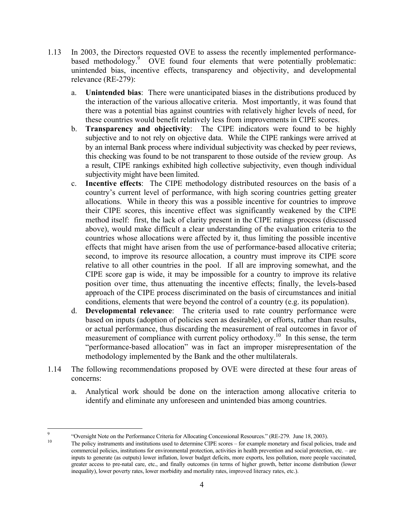- 1.13 In 2003, the Directors requested OVE to assess the recently implemented performancebased methodology.<sup>9</sup> OVE found four elements that were potentially problematic: unintended bias, incentive effects, transparency and objectivity, and developmental relevance (RE-279):
	- a. **Unintended bias**: There were unanticipated biases in the distributions produced by the interaction of the various allocative criteria. Most importantly, it was found that there was a potential bias against countries with relatively higher levels of need, for these countries would benefit relatively less from improvements in CIPE scores.
	- b. **Transparency and objectivity**: The CIPE indicators were found to be highly subjective and to not rely on objective data. While the CIPE rankings were arrived at by an internal Bank process where individual subjectivity was checked by peer reviews, this checking was found to be not transparent to those outside of the review group. As a result, CIPE rankings exhibited high collective subjectivity, even though individual subjectivity might have been limited.
	- c. **Incentive effects**: The CIPE methodology distributed resources on the basis of a country's current level of performance, with high scoring countries getting greater allocations. While in theory this was a possible incentive for countries to improve their CIPE scores, this incentive effect was significantly weakened by the CIPE method itself: first, the lack of clarity present in the CIPE ratings process (discussed above), would make difficult a clear understanding of the evaluation criteria to the countries whose allocations were affected by it, thus limiting the possible incentive effects that might have arisen from the use of performance-based allocative criteria; second, to improve its resource allocation, a country must improve its CIPE score relative to all other countries in the pool. If all are improving somewhat, and the CIPE score gap is wide, it may be impossible for a country to improve its relative position over time, thus attenuating the incentive effects; finally, the levels-based approach of the CIPE process discriminated on the basis of circumstances and initial conditions, elements that were beyond the control of a country (e.g. its population).
	- d. **Developmental relevance**: The criteria used to rate country performance were based on inputs (adoption of policies seen as desirable), or efforts, rather than results, or actual performance, thus discarding the measurement of real outcomes in favor of measurement of compliance with current policy orthodoxy.<sup>10</sup> In this sense, the term "performance-based allocation" was in fact an improper misrepresentation of the methodology implemented by the Bank and the other multilaterals.
- 1.14 The following recommendations proposed by OVE were directed at these four areas of concerns:
	- a. Analytical work should be done on the interaction among allocative criteria to identify and eliminate any unforeseen and unintended bias among countries.

<sup>-&</sup>lt;br>9 <sup>9</sup> Coversight Note on the Performance Criteria for Allocating Concessional Resources." (RE-279. June 18, 2003).<br><sup>10</sup> The policy instruments and institutions used to determine CIPE scores – for example monetary and fiscal

commercial policies, institutions for environmental protection, activities in health prevention and social protection, etc. – are inputs to generate (as outputs) lower inflation, lower budget deficits, more exports, less pollution, more people vaccinated, greater access to pre-natal care, etc., and finally outcomes (in terms of higher growth, better income distribution (lower inequality), lower poverty rates, lower morbidity and mortality rates, improved literacy rates, etc.).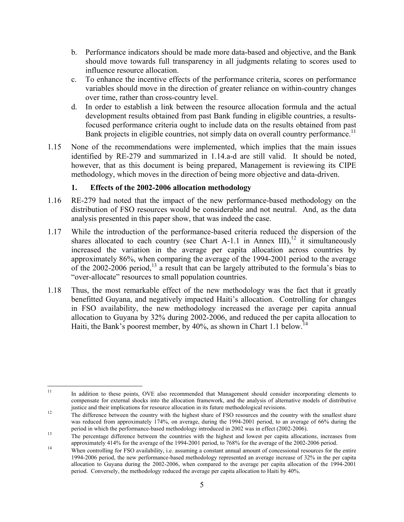- b. Performance indicators should be made more data-based and objective, and the Bank should move towards full transparency in all judgments relating to scores used to influence resource allocation.
- c. To enhance the incentive effects of the performance criteria, scores on performance variables should move in the direction of greater reliance on within-country changes over time, rather than cross-country level.
- d. In order to establish a link between the resource allocation formula and the actual development results obtained from past Bank funding in eligible countries, a resultsfocused performance criteria ought to include data on the results obtained from past Bank projects in eligible countries, not simply data on overall country performance.<sup>11</sup>
- 1.15 None of the recommendations were implemented, which implies that the main issues identified by RE-279 and summarized in 1.14.a-d are still valid. It should be noted, however, that as this document is being prepared, Management is reviewing its CIPE methodology, which moves in the direction of being more objective and data-driven.

# **1. Effects of the 2002-2006 allocation methodology**

- 1.16 RE-279 had noted that the impact of the new performance-based methodology on the distribution of FSO resources would be considerable and not neutral. And, as the data analysis presented in this paper show, that was indeed the case.
- 1.17 While the introduction of the performance-based criteria reduced the dispersion of the shares allocated to each country (see Chart A-1.1 in Annex III),<sup>12</sup> it simultaneously increased the variation in the average per capita allocation across countries by approximately 86%, when comparing the average of the 1994-2001 period to the average of the 2002-2006 period, $^{13}$  a result that can be largely attributed to the formula's bias to "over-allocate" resources to small population countries.
- 1.18 Thus, the most remarkable effect of the new methodology was the fact that it greatly benefitted Guyana, and negatively impacted Haiti's allocation. Controlling for changes in FSO availability, the new methodology increased the average per capita annual allocation to Guyana by 32% during 2002-2006, and reduced the per capita allocation to Haiti, the Bank's poorest member, by  $40\%$ , as shown in Chart 1.1 below.<sup>14</sup>

 $11\,$ 11 In addition to these points, OVE also recommended that Management should consider incorporating elements to compensate for external shocks into the allocation framework, and the analysis of alternative models of distributive justice and their implications for resource allocation in its future methodological revisions.<br><sup>12</sup> The difference between the country with the highest share of FSO resources and the country with the smallest share

was reduced from approximately 174%, on average, during the 1994-2001 period, to an average of 66% during the period in which the performance-based methodology introduced in 2002 was in effect (2002-2006).

<sup>&</sup>lt;sup>13</sup> The percentage difference between the countries with the highest and lowest per capita allocations, increases from approximately 414% for the average of the 1994-2001 period, to 768% for the average of the 2002-2006 p

<sup>&</sup>lt;sup>14</sup> When controlling for FSO availability, i.e. assuming a constant annual amount of concessional resources for the entire 1994-2006 period, the new performance-based methodology represented an average increase of 32% in the per capita allocation to Guyana during the 2002-2006, when compared to the average per capita allocation of the 1994-2001 period. Conversely, the methodology reduced the average per capita allocation to Haiti by 40%.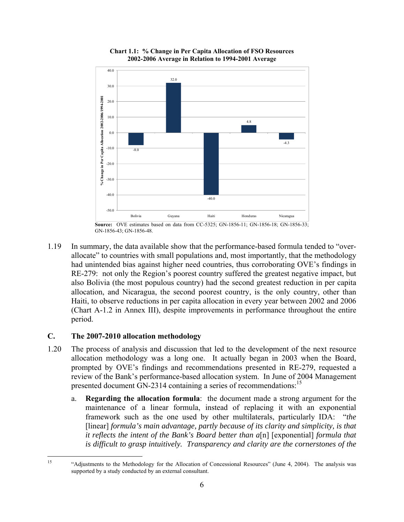

**Chart 1.1: % Change in Per Capita Allocation of FSO Resources 2002-2006 Average in Relation to 1994-2001 Average**

1.19 In summary, the data available show that the performance-based formula tended to "overallocate" to countries with small populations and, most importantly, that the methodology had unintended bias against higher need countries, thus corroborating OVE's findings in RE-279: not only the Region's poorest country suffered the greatest negative impact, but also Bolivia (the most populous country) had the second greatest reduction in per capita allocation, and Nicaragua, the second poorest country, is the only country, other than Haiti, to observe reductions in per capita allocation in every year between 2002 and 2006 (Chart A-1.2 in Annex III), despite improvements in performance throughout the entire period.

## **C. The 2007-2010 allocation methodology**

 $15$ 

- 1.20 The process of analysis and discussion that led to the development of the next resource allocation methodology was a long one. It actually began in 2003 when the Board, prompted by OVE's findings and recommendations presented in RE-279, requested a review of the Bank's performance-based allocation system. In June of 2004 Management presented document GN-2314 containing a series of recommendations:<sup>15</sup>
	- a. **Regarding the allocation formula**: the document made a strong argument for the maintenance of a linear formula, instead of replacing it with an exponential framework such as the one used by other multilaterals, particularly IDA: "*the*  [linear] *formula's main advantage, partly because of its clarity and simplicity, is that it reflects the intent of the Bank's Board better than a*[n] [exponential] *formula that is difficult to grasp intuitively. Transparency and clarity are the cornerstones of the*

**Source:** OVE estimates based on data from CC-5325; GN-1856-11; GN-1856-18; GN-1856-33; GN-1856-43; GN-1856-48.

<sup>15 &</sup>quot;Adjustments to the Methodology for the Allocation of Concessional Resources" (June 4, 2004). The analysis was supported by a study conducted by an external consultant.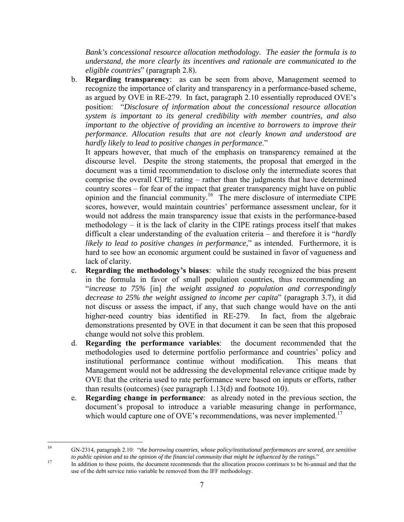*Bank's concessional resource allocation methodology. The easier the formula is to understand, the more clearly its incentives and rationale are communicated to the eligible countries*" (paragraph 2.8).

b. **Regarding transparency**: as can be seen from above, Management seemed to recognize the importance of clarity and transparency in a performance-based scheme, as argued by OVE in RE-279. In fact, paragraph 2.10 essentially reproduced OVE's position: "*Disclosure of information about the concessional resource allocation system is important to its general credibility with member countries, and also important to the objective of providing an incentive to borrowers to improve their performance. Allocation results that are not clearly known and understood are hardly likely to lead to positive changes in performance*."

It appears however, that much of the emphasis on transparency remained at the discourse level. Despite the strong statements, the proposal that emerged in the document was a timid recommendation to disclose only the intermediate scores that comprise the overall CIPE rating – rather than the judgments that have determined country scores – for fear of the impact that greater transparency might have on public opinion and the financial community.16 The mere disclosure of intermediate CIPE scores, however, would maintain countries' performance assessment unclear, for it would not address the main transparency issue that exists in the performance-based methodology – it is the lack of clarity in the CIPE ratings process itself that makes difficult a clear understanding of the evaluation criteria – and therefore it is "*hardly likely to lead to positive changes in performance,*" as intended. Furthermore, it is hard to see how an economic argument could be sustained in favor of vagueness and lack of clarity.

- c. **Regarding the methodology's biases**: while the study recognized the bias present in the formula in favor of small population countries, thus recommending an "*increase to 75%* [in] *the weight assigned to population and correspondingly decrease to 25% the weight assigned to income per capita*" (paragraph 3.7), it did not discuss or assess the impact, if any, that such change would have on the anti higher-need country bias identified in RE-279. In fact, from the algebraic demonstrations presented by OVE in that document it can be seen that this proposed change would not solve this problem.
- d. **Regarding the performance variables**: the document recommended that the methodologies used to determine portfolio performance and countries' policy and institutional performance continue without modification. This means that Management would not be addressing the developmental relevance critique made by OVE that the criteria used to rate performance were based on inputs or efforts, rather than results (outcomes) (see paragraph 1.13(d) and footnote 10).
- e. **Regarding change in performance**: as already noted in the previous section, the document's proposal to introduce a variable measuring change in performance, which would capture one of OVE's recommendations, was never implemented.<sup>17</sup>

16 16 GN-2314, paragraph 2.10: "*the borrowing countries, whose policy/institutional performances are scored, are sensitive* 

If addition to these points, the document recommends that the allocation process continues to be bi-annual and that the use of the debt service ratio variable be removed from the IFF methodology.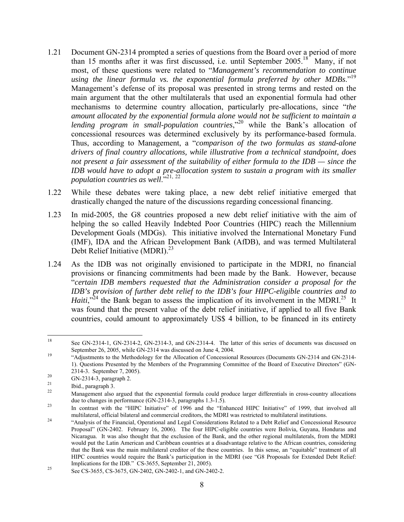- 1.21 Document GN-2314 prompted a series of questions from the Board over a period of more than 15 months after it was first discussed, i.e. until September 2005.<sup>18</sup> Many, if not most, of these questions were related to "*Management's recommendation to continue using the linear formula vs. the exponential formula preferred by other MDBs*."19 Management's defense of its proposal was presented in strong terms and rested on the main argument that the other multilaterals that used an exponential formula had other mechanisms to determine country allocation, particularly pre-allocations, since "*the amount allocated by the exponential formula alone would not be sufficient to maintain a lending program in small-population countries*,"<sup>20</sup> while the Bank's allocation of concessional resources was determined exclusively by its performance-based formula. Thus, according to Management, a "*comparison of the two formulas as stand-alone drivers of final country allocations, while illustrative from a technical standpoint, does not present a fair assessment of the suitability of either formula to the IDB — since the IDB would have to adopt a pre-allocation system to sustain a program with its smaller population countries as well*<sup>3,21</sup>, 22
- 1.22 While these debates were taking place, a new debt relief initiative emerged that drastically changed the nature of the discussions regarding concessional financing.
- 1.23 In mid-2005, the G8 countries proposed a new debt relief initiative with the aim of helping the so called Heavily Indebted Poor Countries (HIPC) reach the Millennium Development Goals (MDGs). This initiative involved the International Monetary Fund (IMF), IDA and the African Development Bank (AfDB), and was termed Multilateral Debt Relief Initiative (MDRI).<sup>23</sup>
- 1.24 As the IDB was not originally envisioned to participate in the MDRI, no financial provisions or financing commitments had been made by the Bank. However, because "*certain IDB members requested that the Administration consider a proposal for the IDB's provision of further debt relief to the IDB's four HIPC-eligible countries and to Haiti*,<sup> $2^2$ </sup> the Bank began to assess the implication of its involvement in the MDRI.<sup>25</sup> It was found that the present value of the debt relief initiative, if applied to all five Bank countries, could amount to approximately US\$ 4 billion, to be financed in its entirety

<sup>18</sup> 18 See GN-2314-1, GN-2314-2, GN-2314-3, and GN-2314-4. The latter of this series of documents was discussed on September 26, 2005, while GN-2314 was discussed on June 4, 2004.<br><sup>19</sup> "Adjustments to the Methodology for the Allocation of Concessional Resources (Documents GN-2314 and GN-2314-

<sup>1).</sup> Questions Presented by the Members of the Programming Committee of the Board of Executive Directors" (GN-

<sup>2314-3.</sup> September 7, 2005).<br>
20 GN-2314-3, paragraph 2.<br>
21 Ibid., paragraph 3.<br>
22 Management also argued that the exponential formula could produce larger differentials in cross-country allocations<br>
22 due to changes in

<sup>23</sup> In contrast with the "HIPC Initiative" of 1996 and the "Enhanced HIPC Initiative" of 1999, that involved all multilateral, official bilateral and commercial creditors, the MDRI was restricted to multilateral institutions.<br><sup>24</sup> Analysis of the Financial, Operational and Legal Considerations Related to a Debt Relief and Concessiona

Proposal" (GN-2402. February 16, 2006). The four HIPC-eligible countries were Bolivia, Guyana, Honduras and Nicaragua. It was also thought that the exclusion of the Bank, and the other regional multilaterals, from the MDRI would put the Latin American and Caribbean countries at a disadvantage relative to the African countries, considering that the Bank was the main multilateral creditor of the these countries. In this sense, an "equitable" treatment of all HIPC countries would require the Bank's participation in the MDRI (see "G8 Proposals for Extended Debt Relief: Implications for the IDB." CS-3655, September 21, 2005).

 $\frac{25}{365}$  See CS-3655, CS-3675, GN-2402, GN-2402-1, and GN-2402-2.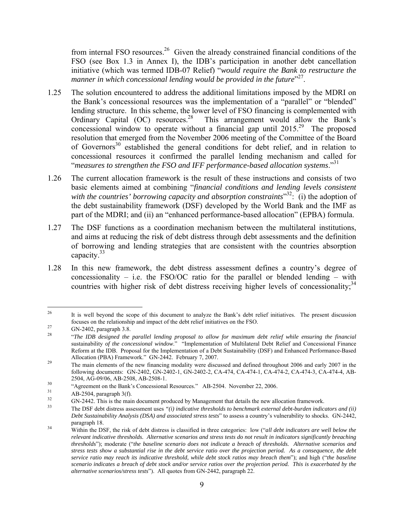from internal FSO resources.<sup>26</sup> Given the already constrained financial conditions of the FSO (see Box 1.3 in Annex I), the IDB's participation in another debt cancellation initiative (which was termed IDB-07 Relief) "*would require the Bank to restructure the*  manner in which concessional lending would be provided in the future"<sup>27</sup>.

- 1.25 The solution encountered to address the additional limitations imposed by the MDRI on the Bank's concessional resources was the implementation of a "parallel" or "blended" lending structure. In this scheme, the lower level of FSO financing is complemented with Ordinary Capital  $(OC)$  resources.<sup>28</sup> This arrangement would allow the Bank's concessional window to operate without a financial gap until  $2015<sup>29</sup>$  The proposed resolution that emerged from the November 2006 meeting of the Committee of the Board of Governors<sup>30</sup> established the general conditions for debt relief, and in relation to concessional resources it confirmed the parallel lending mechanism and called for "*measures to strengthen the FSO and IFF performance-based allocation systems*."31
- 1.26 The current allocation framework is the result of these instructions and consists of two basic elements aimed at combining "*financial conditions and lending levels consistent*  with the countries' borrowing capacity and absorption constraints<sup>32</sup>: (i) the adoption of the debt sustainability framework (DSF) developed by the World Bank and the IMF as part of the MDRI; and (ii) an "enhanced performance-based allocation" (EPBA) formula.
- 1.27 The DSF functions as a coordination mechanism between the multilateral institutions, and aims at reducing the risk of debt distress through debt assessments and the definition of borrowing and lending strategies that are consistent with the countries absorption capacity. $33$
- 1.28 In this new framework, the debt distress assessment defines a country's degree of concessionality – i.e. the FSO/OC ratio for the parallel or blended lending – with countries with higher risk of debt distress receiving higher levels of concessionality;<sup>34</sup>

<sup>1</sup> <sup>26</sup> It is well beyond the scope of this document to analyze the Bank's debt relief initiatives. The present discussion

focuses on the relationship and impact of the debt relief initiatives on the FSO.<br>
GN-2402, paragraph 3.8.<br>
"The IDB designed the parallel lending proposal to allow for maximum debt relief while ensuring the financial sustainability *of the concessional window*." "Implementation of Multilateral Debt Relief and Concessional Finance Reform at the IDB. Proposal for the Implementation of a Debt Sustainability (DSF) and Enhanced Performance-Based Allocation (PBA) Framework." GN-2442. February 7, 2007.<br><sup>29</sup> The main elements of the new financing modality were discussed and defined throughout 2006 and early 2007 in the

following documents: GN-2402, GN-2402-1, GN-2402-2, CA-474, CA-474-1, CA-474-2, CA-474-3, CA-474-4, AB-2504, AG-09/06, AB-2508, AB-2508-1.<br>
"Agreement on the Bank's Concessional Resources." AB-2504. November 22, 2006.<br>
AB-2504, paragraph 3(f).<br>
GN-2442. This is the main document produced by Management that details the new a

*Debt Sustainability Analysis (DSA) and associated stress tests*" to assess a country's vulnerability to shocks. GN-2442,

paragraph 18.<br><sup>34</sup> Within the DSF, the risk of debt distress is classified in three categories: low (*"all debt indicators are well below the relevant indicative thresholds. Alternative scenarios and stress tests do not result in indicators significantly breaching thresholds*"); moderate ("*the baseline scenario does not indicate a breach of thresholds. Alternative scenarios and stress tests show a substantial rise in the debt service ratio over the projection period. As a consequence, the debt service ratio may reach its indicative threshold, while debt stock ratios may breach them*"); and high ("*the baseline scenario indicates a breach of debt stock and/or service ratios over the projection period. This is exacerbated by the alternative scenarios/stress tests*"). All quotes from GN-2442, paragraph 22.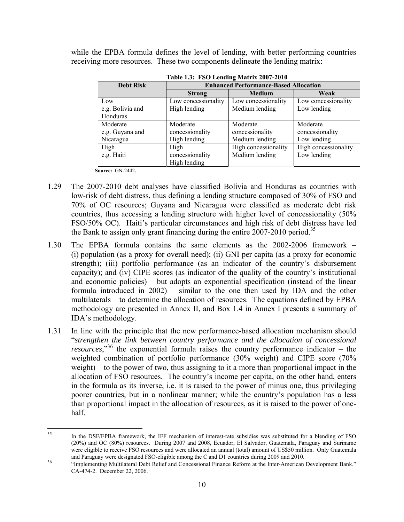while the EPBA formula defines the level of lending, with better performing countries receiving more resources. These two components delineate the lending matrix:

| <b>Debt Risk</b> | <b>Enhanced Performance-Based Allocation</b> |                      |                      |  |
|------------------|----------------------------------------------|----------------------|----------------------|--|
|                  | <b>Strong</b>                                | <b>Medium</b>        | Weak                 |  |
| Low              | Low concessionality                          | Low concessionality  | Low concessionality  |  |
| e.g. Bolivia and | High lending                                 | Medium lending       | Low lending          |  |
| Honduras         |                                              |                      |                      |  |
| Moderate         | Moderate                                     | Moderate             | Moderate             |  |
| e.g. Guyana and  | concessionality                              | concessionality      | concessionality      |  |
| Nicaragua        | High lending                                 | Medium lending       | Low lending          |  |
| High             | High                                         | High concessionality | High concessionality |  |
| e.g. Haiti       | concessionality                              | Medium lending       | Low lending          |  |
|                  | High lending                                 |                      |                      |  |

**Table 1.3: FSO Lending Matrix 2007-2010** 

**Source:** GN-2442.

- 1.29 The 2007-2010 debt analyses have classified Bolivia and Honduras as countries with low-risk of debt distress, thus defining a lending structure composed of 30% of FSO and 70% of OC resources; Guyana and Nicaragua were classified as moderate debt risk countries, thus accessing a lending structure with higher level of concessionality (50% FSO/50% OC). Haiti's particular circumstances and high risk of debt distress have led the Bank to assign only grant financing during the entire  $2007-2010$  period.<sup>35</sup>
- 1.30 The EPBA formula contains the same elements as the 2002-2006 framework (i) population (as a proxy for overall need); (ii) GNI per capita (as a proxy for economic strength); (iii) portfolio performance (as an indicator of the country's disbursement capacity); and (iv) CIPE scores (as indicator of the quality of the country's institutional and economic policies) – but adopts an exponential specification (instead of the linear formula introduced in 2002) – similar to the one then used by IDA and the other multilaterals – to determine the allocation of resources. The equations defined by EPBA methodology are presented in Annex II, and Box 1.4 in Annex I presents a summary of IDA's methodology.
- 1.31 In line with the principle that the new performance-based allocation mechanism should "*strengthen the link between country performance and the allocation of concessional resources*,"36 the exponential formula raises the country performance indicator – the weighted combination of portfolio performance (30% weight) and CIPE score (70% weight) – to the power of two, thus assigning to it a more than proportional impact in the allocation of FSO resources. The country's income per capita, on the other hand, enters in the formula as its inverse, i.e. it is raised to the power of minus one, thus privileging poorer countries, but in a nonlinear manner; while the country's population has a less than proportional impact in the allocation of resources, as it is raised to the power of onehalf.

 $35$ In the DSF/EPBA framework, the IFF mechanism of interest-rate subsidies was substituted for a blending of FSO (20%) and OC (80%) resources. During 2007 and 2008, Ecuador, El Salvador, Guatemala, Paraguay and Suriname were eligible to receive FSO resources and were allocated an annual (total) amount of US\$50 million. Only Guatemala and Paraguay were designated FSO-eligible among the C and D1 countries during 2009 and 2010.

<sup>&</sup>lt;sup>36</sup> "Implementing Multilateral Debt Relief and Concessional Finance Reform at the Inter-American Development Bank." CA-474-2. December 22, 2006.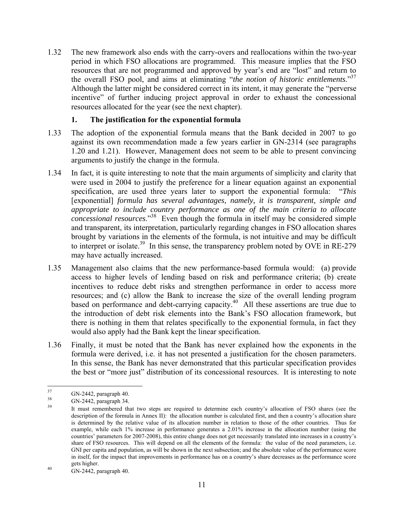1.32 The new framework also ends with the carry-overs and reallocations within the two-year period in which FSO allocations are programmed. This measure implies that the FSO resources that are not programmed and approved by year's end are "lost" and return to the overall FSO pool, and aims at eliminating "*the notion of historic entitlements*."37 Although the latter might be considered correct in its intent, it may generate the "perverse incentive" of further inducing project approval in order to exhaust the concessional resources allocated for the year (see the next chapter).

### **1. The justification for the exponential formula**

- 1.33 The adoption of the exponential formula means that the Bank decided in 2007 to go against its own recommendation made a few years earlier in GN-2314 (see paragraphs 1.20 and 1.21). However, Management does not seem to be able to present convincing arguments to justify the change in the formula.
- 1.34 In fact, it is quite interesting to note that the main arguments of simplicity and clarity that were used in 2004 to justify the preference for a linear equation against an exponential specification, are used three years later to support the exponential formula: "*This*  [exponential] *formula has several advantages, namely, it is transparent, simple and appropriate to include country performance as one of the main criteria to allocate concessional resources*."38 Even though the formula in itself may be considered simple and transparent, its interpretation, particularly regarding changes in FSO allocation shares brought by variations in the elements of the formula, is not intuitive and may be difficult to interpret or isolate.<sup>39</sup> In this sense, the transparency problem noted by OVE in RE-279 may have actually increased.
- 1.35 Management also claims that the new performance-based formula would: (a) provide access to higher levels of lending based on risk and performance criteria; (b) create incentives to reduce debt risks and strengthen performance in order to access more resources; and (c) allow the Bank to increase the size of the overall lending program based on performance and debt-carrying capacity.<sup>40</sup> All these assertions are true due to the introduction of debt risk elements into the Bank's FSO allocation framework, but there is nothing in them that relates specifically to the exponential formula, in fact they would also apply had the Bank kept the linear specification.
- 1.36 Finally, it must be noted that the Bank has never explained how the exponents in the formula were derived, i.e. it has not presented a justification for the chosen parameters. In this sense, the Bank has never demonstrated that this particular specification provides the best or "more just" distribution of its concessional resources. It is interesting to note

<sup>37</sup> 

<sup>&</sup>lt;sup>37</sup> GN-2442, paragraph 40.<br><sup>38</sup> GN-2442, paragraph 34.<br><sup>39</sup> It must remembered that two steps are required to determine each country's allocation of FSO shares (see the description of the formula in Annex II): the allocation number is calculated first, and then a country's allocation share is determined by the relative value of its allocation number in relation to those of the other countries. Thus for example, while each 1% increase in performance generates a 2.01% increase in the allocation number (using the countries' parameters for 2007-2008), this entire change does not get necessarily translated into increases in a country's share of FSO resources. This will depend on all the elements of the formula: the value of the need parameters, i.e. GNI per capita and population, as will be shown in the next subsection; and the absolute value of the performance score in itself, for the impact that improvements in performance has on a country's share decreases as the performance score

gets higher.<br>40 GN-2442, paragraph 40.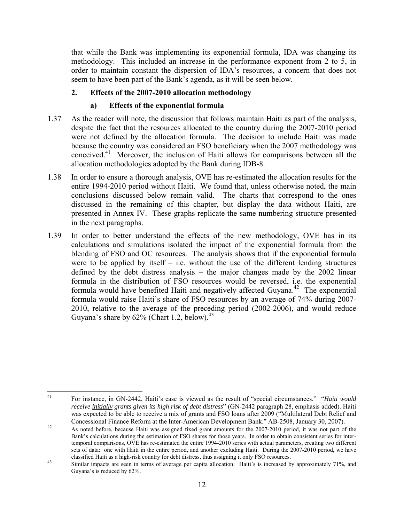that while the Bank was implementing its exponential formula, IDA was changing its methodology. This included an increase in the performance exponent from 2 to 5, in order to maintain constant the dispersion of IDA's resources, a concern that does not seem to have been part of the Bank's agenda, as it will be seen below.

## **2. Effects of the 2007-2010 allocation methodology**

## **a) Effects of the exponential formula**

- 1.37 As the reader will note, the discussion that follows maintain Haiti as part of the analysis, despite the fact that the resources allocated to the country during the 2007-2010 period were not defined by the allocation formula. The decision to include Haiti was made because the country was considered an FSO beneficiary when the 2007 methodology was conceived.41 Moreover, the inclusion of Haiti allows for comparisons between all the allocation methodologies adopted by the Bank during IDB-8.
- 1.38 In order to ensure a thorough analysis, OVE has re-estimated the allocation results for the entire 1994-2010 period without Haiti. We found that, unless otherwise noted, the main conclusions discussed below remain valid. The charts that correspond to the ones discussed in the remaining of this chapter, but display the data without Haiti, are presented in Annex IV. These graphs replicate the same numbering structure presented in the next paragraphs.
- 1.39 In order to better understand the effects of the new methodology, OVE has in its calculations and simulations isolated the impact of the exponential formula from the blending of FSO and OC resources. The analysis shows that if the exponential formula were to be applied by itself  $-$  i.e. without the use of the different lending structures defined by the debt distress analysis – the major changes made by the 2002 linear formula in the distribution of FSO resources would be reversed, i.e. the exponential formula would have benefited Haiti and negatively affected Guyana.<sup>42</sup> The exponential formula would raise Haiti's share of FSO resources by an average of 74% during 2007- 2010, relative to the average of the preceding period (2002-2006), and would reduce Guyana's share by  $62\%$  (Chart 1.2, below).<sup>43</sup>

 $41$ 41 For instance, in GN-2442, Haiti's case is viewed as the result of "special circumstances." "*Haiti would receive initially grants given its high risk of debt distress*" (GN-2442 paragraph 28, emphasis added). Haiti was expected to be able to receive a mix of grants and FSO loans after 2009 ("Multilateral Debt Relief and Concessional Finance Reform at the Inter-American Development Bank." AB-2508, January 30, 2007).<br><sup>42</sup> As noted before, because Haiti was assigned fixed grant amounts for the 2007-2010 period, it was not part of the

Bank's calculations during the estimation of FSO shares for those years. In order to obtain consistent series for intertemporal comparisons, OVE has re-estimated the entire 1994-2010 series with actual parameters, creating two different sets of data: one with Haiti in the entire period, and another excluding Haiti. During the 2007-2010 period, we have classified Haiti as a high-risk country for debt distress, thus assigning it only FSO resources.

<sup>&</sup>lt;sup>43</sup> Similar impacts are seen in terms of average per capita allocation: Haiti's is increased by approximately 71%, and Guyana's is reduced by 62%.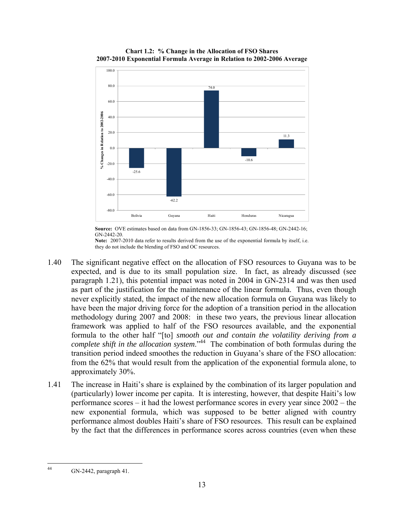

**Chart 1.2: % Change in the Allocation of FSO Shares 2007-2010 Exponential Formula Average in Relation to 2002-2006 Average**

**Source:** OVE estimates based on data from GN-1856-33; GN-1856-43; GN-1856-48; GN-2442-16; GN-2442-20.

**Note:** 2007-2010 data refer to results derived from the use of the exponential formula by itself, i.e. they do not include the blending of FSO and OC resources.

- 1.40 The significant negative effect on the allocation of FSO resources to Guyana was to be expected, and is due to its small population size. In fact, as already discussed (see paragraph 1.21), this potential impact was noted in 2004 in GN-2314 and was then used as part of the justification for the maintenance of the linear formula. Thus, even though never explicitly stated, the impact of the new allocation formula on Guyana was likely to have been the major driving force for the adoption of a transition period in the allocation methodology during 2007 and 2008: in these two years, the previous linear allocation framework was applied to half of the FSO resources available, and the exponential formula to the other half "[to] *smooth out and contain the volatility deriving from a complete shift in the allocation system*."44 The combination of both formulas during the transition period indeed smoothes the reduction in Guyana's share of the FSO allocation: from the 62% that would result from the application of the exponential formula alone, to approximately 30%.
- 1.41 The increase in Haiti's share is explained by the combination of its larger population and (particularly) lower income per capita. It is interesting, however, that despite Haiti's low performance scores – it had the lowest performance scores in every year since 2002 – the new exponential formula, which was supposed to be better aligned with country performance almost doubles Haiti's share of FSO resources. This result can be explained by the fact that the differences in performance scores across countries (even when these

 $\overline{44}$ 44 GN-2442, paragraph 41.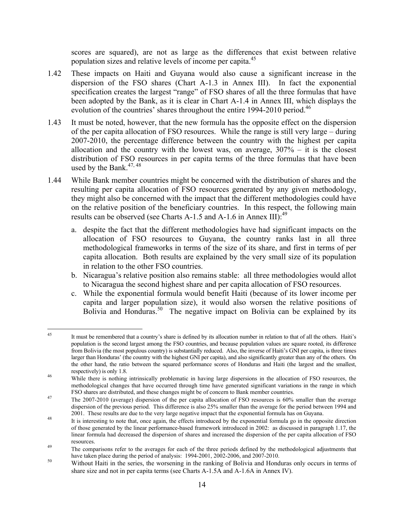scores are squared), are not as large as the differences that exist between relative population sizes and relative levels of income per capita.<sup>45</sup>

- 1.42 These impacts on Haiti and Guyana would also cause a significant increase in the dispersion of the FSO shares (Chart A-1.3 in Annex III). In fact the exponential specification creates the largest "range" of FSO shares of all the three formulas that have been adopted by the Bank, as it is clear in Chart A-1.4 in Annex III, which displays the evolution of the countries' shares throughout the entire 1994-2010 period.<sup>46</sup>
- 1.43 It must be noted, however, that the new formula has the opposite effect on the dispersion of the per capita allocation of FSO resources. While the range is still very large – during 2007-2010, the percentage difference between the country with the highest per capita allocation and the country with the lowest was, on average,  $307% - it$  it is the closest distribution of FSO resources in per capita terms of the three formulas that have been used by the Bank. $47,48$
- 1.44 While Bank member countries might be concerned with the distribution of shares and the resulting per capita allocation of FSO resources generated by any given methodology, they might also be concerned with the impact that the different methodologies could have on the relative position of the beneficiary countries. In this respect, the following main results can be observed (see Charts A-1.5 and A-1.6 in Annex III): $^{49}$ 
	- a. despite the fact that the different methodologies have had significant impacts on the allocation of FSO resources to Guyana, the country ranks last in all three methodological frameworks in terms of the size of its share, and first in terms of per capita allocation. Both results are explained by the very small size of its population in relation to the other FSO countries.
	- b. Nicaragua's relative position also remains stable: all three methodologies would allot to Nicaragua the second highest share and per capita allocation of FSO resources.
	- c. While the exponential formula would benefit Haiti (because of its lower income per capita and larger population size), it would also worsen the relative positions of Bolivia and Honduras.<sup>50</sup> The negative impact on Bolivia can be explained by its

<sup>45</sup> It must be remembered that a country's share is defined by its allocation number in relation to that of all the others. Haiti's population is the second largest among the FSO countries, and because population values are square rooted, its difference from Bolivia (the most populous country) is substantially reduced. Also, the inverse of Haiti's GNI per capita, is three times larger than Honduras' (the country with the highest GNI per capita), and also significantly greater than any of the others. On the other hand, the ratio between the squared performance scores of Honduras and Haiti (the largest and the smallest, respectively) is only 1.8.<br><sup>46</sup> While there is nothing intrinsically problematic in having large dispersions in the allocation of FSO resources, the

methodological changes that have occurred through time have generated significant variations in the range in which FSO shares are distributed, and these changes might be of concern to Bank member countries.<br><sup>47</sup> The 2007-2010 (average) dispersion of the per capita allocation of FSO resources is 60% smaller than the average

dispersion of the previous period. This difference is also 25% smaller than the average for the period between 1994 and 2001. These results are due to the very large negative impact that the exponential formula has on Guyana.<br>It is interesting to note that, once again, the effects introduced by the exponential formula go in the opposite dir

of those generated by the linear performance-based framework introduced in 2002: as discussed in paragraph 1.17, the linear formula had decreased the dispersion of shares and increased the dispersion of the per capita allocation of FSO

resources.<br>The comparisons refer to the averages for each of the three periods defined by the methodological adjustments that have taken place during the period of analysis:  $1994-2001$ ,  $2002-2006$ , and  $2007-2010$ .

 $h^{50}$  Without Haiti in the series, the worsening in the ranking of Bolivia and Honduras only occurs in terms of share size and not in per capita terms (see Charts A-1.5A and A-1.6A in Annex IV).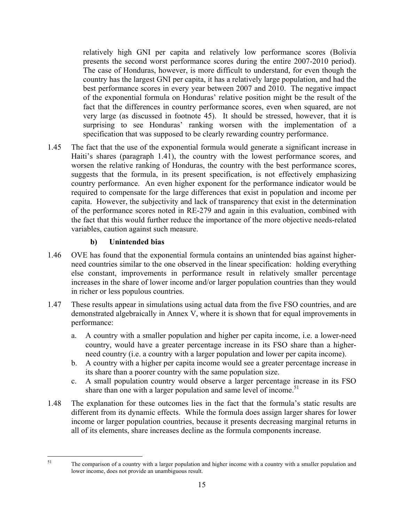relatively high GNI per capita and relatively low performance scores (Bolivia presents the second worst performance scores during the entire 2007-2010 period). The case of Honduras, however, is more difficult to understand, for even though the country has the largest GNI per capita, it has a relatively large population, and had the best performance scores in every year between 2007 and 2010. The negative impact of the exponential formula on Honduras' relative position might be the result of the fact that the differences in country performance scores, even when squared, are not very large (as discussed in footnote 45). It should be stressed, however, that it is surprising to see Honduras' ranking worsen with the implementation of a specification that was supposed to be clearly rewarding country performance.

1.45 The fact that the use of the exponential formula would generate a significant increase in Haiti's shares (paragraph 1.41), the country with the lowest performance scores, and worsen the relative ranking of Honduras, the country with the best performance scores, suggests that the formula, in its present specification, is not effectively emphasizing country performance. An even higher exponent for the performance indicator would be required to compensate for the large differences that exist in population and income per capita. However, the subjectivity and lack of transparency that exist in the determination of the performance scores noted in RE-279 and again in this evaluation, combined with the fact that this would further reduce the importance of the more objective needs-related variables, caution against such measure.

## **b) Unintended bias**

51

- 1.46 OVE has found that the exponential formula contains an unintended bias against higherneed countries similar to the one observed in the linear specification: holding everything else constant, improvements in performance result in relatively smaller percentage increases in the share of lower income and/or larger population countries than they would in richer or less populous countries.
- 1.47 These results appear in simulations using actual data from the five FSO countries, and are demonstrated algebraically in Annex V, where it is shown that for equal improvements in performance:
	- a. A country with a smaller population and higher per capita income, i.e. a lower-need country, would have a greater percentage increase in its FSO share than a higherneed country (i.e. a country with a larger population and lower per capita income).
	- b. A country with a higher per capita income would see a greater percentage increase in its share than a poorer country with the same population size.
	- c. A small population country would observe a larger percentage increase in its FSO share than one with a larger population and same level of income.<sup>51</sup>
- 1.48 The explanation for these outcomes lies in the fact that the formula's static results are different from its dynamic effects. While the formula does assign larger shares for lower income or larger population countries, because it presents decreasing marginal returns in all of its elements, share increases decline as the formula components increase.

The comparison of a country with a larger population and higher income with a country with a smaller population and lower income, does not provide an unambiguous result.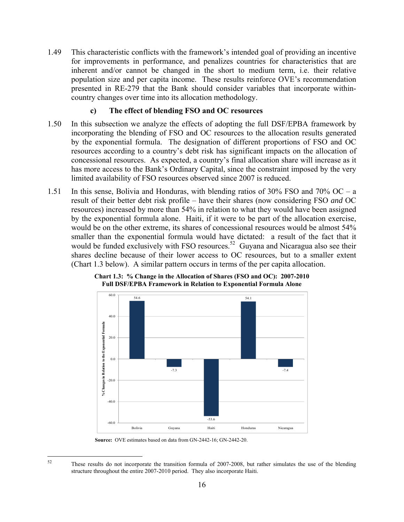1.49 This characteristic conflicts with the framework's intended goal of providing an incentive for improvements in performance, and penalizes countries for characteristics that are inherent and/or cannot be changed in the short to medium term, i.e. their relative population size and per capita income. These results reinforce OVE's recommendation presented in RE-279 that the Bank should consider variables that incorporate withincountry changes over time into its allocation methodology.

#### **c) The effect of blending FSO and OC resources**

- 1.50 In this subsection we analyze the effects of adopting the full DSF/EPBA framework by incorporating the blending of FSO and OC resources to the allocation results generated by the exponential formula. The designation of different proportions of FSO and OC resources according to a country's debt risk has significant impacts on the allocation of concessional resources. As expected, a country's final allocation share will increase as it has more access to the Bank's Ordinary Capital, since the constraint imposed by the very limited availability of FSO resources observed since 2007 is reduced.
- 1.51 In this sense, Bolivia and Honduras, with blending ratios of 30% FSO and 70% OC a result of their better debt risk profile – have their shares (now considering FSO *and* OC resources) increased by more than 54% in relation to what they would have been assigned by the exponential formula alone. Haiti, if it were to be part of the allocation exercise, would be on the other extreme, its shares of concessional resources would be almost 54% smaller than the exponential formula would have dictated: a result of the fact that it would be funded exclusively with FSO resources.<sup>52</sup> Guyana and Nicaragua also see their shares decline because of their lower access to OC resources, but to a smaller extent (Chart 1.3 below). A similar pattern occurs in terms of the per capita allocation.



**Chart 1.3: % Change in the Allocation of Shares (FSO and OC): 2007-2010 Full DSF/EPBA Framework in Relation to Exponential Formula Alone**

**Source:** OVE estimates based on data from GN-2442-16; GN-2442-20.

 $52$ These results do not incorporate the transition formula of 2007-2008, but rather simulates the use of the blending structure throughout the entire 2007-2010 period. They also incorporate Haiti.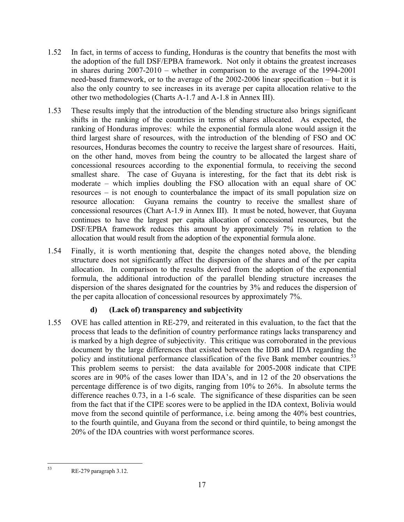- 1.52 In fact, in terms of access to funding, Honduras is the country that benefits the most with the adoption of the full DSF/EPBA framework. Not only it obtains the greatest increases in shares during 2007-2010 – whether in comparison to the average of the 1994-2001 need-based framework, or to the average of the 2002-2006 linear specification – but it is also the only country to see increases in its average per capita allocation relative to the other two methodologies (Charts A-1.7 and A-1.8 in Annex III).
- 1.53 These results imply that the introduction of the blending structure also brings significant shifts in the ranking of the countries in terms of shares allocated. As expected, the ranking of Honduras improves: while the exponential formula alone would assign it the third largest share of resources, with the introduction of the blending of FSO and OC resources, Honduras becomes the country to receive the largest share of resources. Haiti, on the other hand, moves from being the country to be allocated the largest share of concessional resources according to the exponential formula, to receiving the second smallest share. The case of Guyana is interesting, for the fact that its debt risk is moderate – which implies doubling the FSO allocation with an equal share of OC resources – is not enough to counterbalance the impact of its small population size on resource allocation: Guyana remains the country to receive the smallest share of concessional resources (Chart A-1.9 in Annex III). It must be noted, however, that Guyana continues to have the largest per capita allocation of concessional resources, but the DSF/EPBA framework reduces this amount by approximately 7% in relation to the allocation that would result from the adoption of the exponential formula alone.
- 1.54 Finally, it is worth mentioning that, despite the changes noted above, the blending structure does not significantly affect the dispersion of the shares and of the per capita allocation. In comparison to the results derived from the adoption of the exponential formula, the additional introduction of the parallel blending structure increases the dispersion of the shares designated for the countries by 3% and reduces the dispersion of the per capita allocation of concessional resources by approximately 7%.

# **d) (Lack of) transparency and subjectivity**

1.55 OVE has called attention in RE-279, and reiterated in this evaluation, to the fact that the process that leads to the definition of country performance ratings lacks transparency and is marked by a high degree of subjectivity. This critique was corroborated in the previous document by the large differences that existed between the IDB and IDA regarding the policy and institutional performance classification of the five Bank member countries.<sup>53</sup> This problem seems to persist: the data available for 2005-2008 indicate that CIPE scores are in 90% of the cases lower than IDA's, and in 12 of the 20 observations the percentage difference is of two digits, ranging from 10% to 26%. In absolute terms the difference reaches 0.73, in a 1-6 scale. The significance of these disparities can be seen from the fact that if the CIPE scores were to be applied in the IDA context, Bolivia would move from the second quintile of performance, i.e. being among the 40% best countries, to the fourth quintile, and Guyana from the second or third quintile, to being amongst the 20% of the IDA countries with worst performance scores.

<sup>53</sup> RE-279 paragraph 3.12.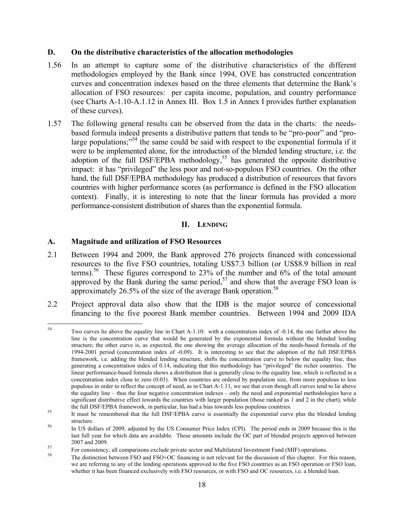### **D. On the distributive characteristics of the allocation methodologies**

- 1.56 In an attempt to capture some of the distributive characteristics of the different methodologies employed by the Bank since 1994, OVE has constructed concentration curves and concentration indexes based on the three elements that determine the Bank's allocation of FSO resources: per capita income, population, and country performance (see Charts A-1.10-A.1.12 in Annex III. Box 1.5 in Annex I provides further explanation of these curves).
- 1.57 The following general results can be observed from the data in the charts: the needsbased formula indeed presents a distributive pattern that tends to be "pro-poor" and "prolarge populations;<sup> $354$ </sup> the same could be said with respect to the exponential formula if it were to be implemented alone, for the introduction of the blended lending structure, i.e. the adoption of the full DSF/EPBA methodology,<sup>55</sup> has generated the opposite distributive impact: it has "privileged" the less poor and not-so-populous FSO countries. On the other hand, the full DSF/EPBA methodology has produced a distribution of resources that favors countries with higher performance scores (as performance is defined in the FSO allocation context). Finally, it is interesting to note that the linear formula has provided a more performance-consistent distribution of shares than the exponential formula.

### **II. LENDING**

### **A. Magnitude and utilization of FSO Resources**

- 2.1 Between 1994 and 2009, the Bank approved 276 projects financed with concessional resources to the five FSO countries, totaling US\$7.3 billion (or US\$8.9 billion in real terms).<sup>56</sup> These figures correspond to 23% of the number and  $6\%$  of the total amount approved by the Bank during the same period, $57$  and show that the average FSO loan is approximately 26.5% of the size of the average Bank operation.<sup>58</sup>
- 2.2 Project approval data also show that the IDB is the major source of concessional financing to the five poorest Bank member countries. Between 1994 and 2009 IDA

<sup>54</sup> Two curves lie above the equality line in Chart A-1.10: with a concentration index of -0.14, the one farther above the line is the concentration curve that would be generated by the exponential formula without the blended lending structure; the other curve is, as expected, the one showing the average allocation of the needs-based formula of the 1994-2001 period (concentration index of -0.09). It is interesting to see that the adoption of the full DSF/EPBA framework, i.e. adding the blended lending structure, shifts the concentration curve to below the equality line, thus generating a concentration index of 0.14, indicating that this methodology has "privileged" the richer countries. The linear performance-based formula shows a distribution that is generally close to the equality line, which is reflected in a concentration index close to zero (0.03). When countries are ordered by population size, from more populous to less populous in order to reflect the concept of need, as in Chart A-1.11, we see that even though all curves tend to lie above the equality line – thus the four negative concentration indexes – only the need and exponential methodologies have a significant distributive effect towards the countries with larger population (those ranked as 1 and 2 in the chart), while the full DSF/EPBA framework, in particular, has had a bias towards less populous countries.<br><sup>55</sup> It must be remembered that the full DSF/EPBA curve is essentially the exponential curve plus the blended lending

structure.<br><sup>56</sup> In US dollars of 2009, adjusted by the US Consumer Price Index (CPI). The period ends in 2009 because this is the last full year for which data are available. These amounts include the OC part of blended projects approved between

<sup>2007</sup> and 2009.<br>For consistency, all comparisons exclude private sector and Multilateral Investment Fund (MIF) operations.<br>The distinction between FSO and FSO+OC financing is not relevant for the discussion of this chapter. we are referring to any of the lending operations approved to the five FSO countries as an FSO operation or FSO loan, whether it has been financed exclusively with FSO resources, or with FSO and OC resources, i.e. a blended loan.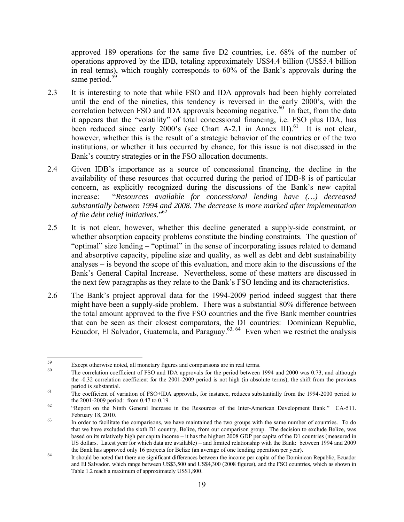approved 189 operations for the same five D2 countries, i.e. 68% of the number of operations approved by the IDB, totaling approximately US\$4.4 billion (US\$5.4 billion in real terms), which roughly corresponds to 60% of the Bank's approvals during the same period.<sup>59</sup>

- 2.3 It is interesting to note that while FSO and IDA approvals had been highly correlated until the end of the nineties, this tendency is reversed in the early 2000's, with the correlation between FSO and IDA approvals becoming negative.<sup>60</sup> In fact, from the data it appears that the "volatility" of total concessional financing, i.e. FSO plus IDA, has been reduced since early 2000's (see Chart A-2.1 in Annex III).<sup>61</sup> It is not clear, however, whether this is the result of a strategic behavior of the countries or of the two institutions, or whether it has occurred by chance, for this issue is not discussed in the Bank's country strategies or in the FSO allocation documents.
- 2.4 Given IDB's importance as a source of concessional financing, the decline in the availability of these resources that occurred during the period of IDB-8 is of particular concern, as explicitly recognized during the discussions of the Bank's new capital increase: "*Resources available for concessional lending have (…) decreased substantially between 1994 and 2008. The decrease is more marked after implementation of the debt relief initiatives*."62
- 2.5 It is not clear, however, whether this decline generated a supply-side constraint, or whether absorption capacity problems constitute the binding constraints. The question of "optimal" size lending – "optimal" in the sense of incorporating issues related to demand and absorptive capacity, pipeline size and quality, as well as debt and debt sustainability analyses – is beyond the scope of this evaluation, and more akin to the discussions of the Bank's General Capital Increase. Nevertheless, some of these matters are discussed in the next few paragraphs as they relate to the Bank's FSO lending and its characteristics.
- 2.6 The Bank's project approval data for the 1994-2009 period indeed suggest that there might have been a supply-side problem. There was a substantial 80% difference between the total amount approved to the five FSO countries and the five Bank member countries that can be seen as their closest comparators, the D1 countries: Dominican Republic, Ecuador, El Salvador, Guatemala, and Paraguay.<sup>63, 64</sup> Even when we restrict the analysis

<sup>59</sup> 

Except otherwise noted, all monetary figures and comparisons are in real terms.<br><sup>60</sup> The correlation coefficient of FSO and IDA approvals for the period between 1994 and 2000 was 0.73, and although the -0.32 correlation coefficient for the 2001-2009 period is not high (in absolute terms), the shift from the previous

period is substantial.<br>The coefficient of variation of FSO+IDA approvals, for instance, reduces substantially from the 1994-2000 period to<br>the 2001-2009 period: from 0.47 to 0.19.

 $t_{\text{2}}$  "Report on the Ninth General Increase in the Resources of the Inter-American Development Bank." CA-511. February 18, 2010.<br><sup>63</sup> In order to facilitate the comparisons, we have maintained the two groups with the same number of countries. To do

that we have excluded the sixth D1 country, Belize, from our comparison group. The decision to exclude Belize, was based on its relatively high per capita income – it has the highest 2008 GDP per capita of the D1 countries (measured in US dollars. Latest year for which data are available) – and limited relationship with the Bank: between 1994 and 2009

the Bank has approved only 16 projects for Belize (an average of one lending operation per year).<br>It should be noted that there are significant differences between the income per capita of the Dominican Republic, Ecuador and El Salvador, which range between US\$3,500 and US\$4,300 (2008 figures), and the FSO countries, which as shown in Table 1.2 reach a maximum of approximately US\$1,800.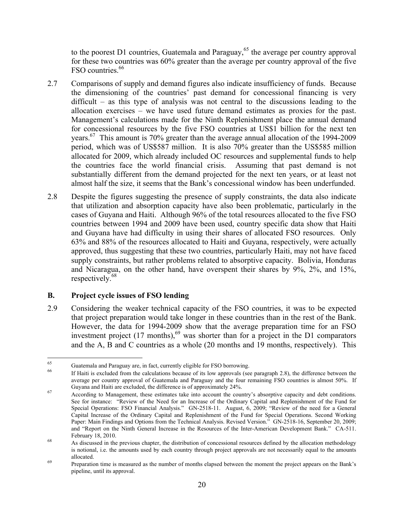to the poorest D1 countries, Guatemala and Paraguay,<sup>65</sup> the average per country approval for these two countries was 60% greater than the average per country approval of the five FSO countries.<sup>66</sup>

- 2.7 Comparisons of supply and demand figures also indicate insufficiency of funds. Because the dimensioning of the countries' past demand for concessional financing is very difficult – as this type of analysis was not central to the discussions leading to the allocation exercises – we have used future demand estimates as proxies for the past. Management's calculations made for the Ninth Replenishment place the annual demand for concessional resources by the five FSO countries at US\$1 billion for the next ten years.<sup>67</sup> This amount is 70% greater than the average annual allocation of the 1994-2009 period, which was of US\$587 million. It is also 70% greater than the US\$585 million allocated for 2009, which already included OC resources and supplemental funds to help the countries face the world financial crisis. Assuming that past demand is not substantially different from the demand projected for the next ten years, or at least not almost half the size, it seems that the Bank's concessional window has been underfunded.
- 2.8 Despite the figures suggesting the presence of supply constraints, the data also indicate that utilization and absorption capacity have also been problematic, particularly in the cases of Guyana and Haiti. Although 96% of the total resources allocated to the five FSO countries between 1994 and 2009 have been used, country specific data show that Haiti and Guyana have had difficulty in using their shares of allocated FSO resources. Only 63% and 88% of the resources allocated to Haiti and Guyana, respectively, were actually approved, thus suggesting that these two countries, particularly Haiti, may not have faced supply constraints, but rather problems related to absorptive capacity. Bolivia, Honduras and Nicaragua, on the other hand, have overspent their shares by 9%, 2%, and 15%, respectively.<sup>68</sup>

## **B. Project cycle issues of FSO lending**

2.9 Considering the weaker technical capacity of the FSO countries, it was to be expected that project preparation would take longer in these countries than in the rest of the Bank. However, the data for 1994-2009 show that the average preparation time for an FSO investment project (17 months),<sup>69</sup> was shorter than for a project in the D1 comparators and the A, B and C countries as a whole (20 months and 19 months, respectively). This

<sup>65</sup> 

 $^{65}$  Guatemala and Paraguay are, in fact, currently eligible for FSO borrowing.<br><sup>66</sup> If Haiti is excluded from the calculations because of its low approvals (see paragraph 2.8), the difference between the average per country approval of Guatemala and Paraguay and the four remaining FSO countries is almost 50%. If Guyana and Haiti are excluded, the difference is of approximately  $24\%$ .<br>67 According to Management, these estimates take into account the country's absorptive capacity and debt conditions.

See for instance: "Review of the Need for an Increase of the Ordinary Capital and Replenishment of the Fund for Special Operations: FSO Financial Analysis." GN-2518-11. August, 6, 2009; "Review of the need for a General Capital Increase of the Ordinary Capital and Replenishment of the Fund for Special Operations. Second Working Paper: Main Findings and Options from the Technical Analysis. Revised Version.<sup>3</sup> GN-2518-16, September 20, 2009; and "Report on the Ninth General Increase in the Resources of the Inter-American Development Bank." CA-511. February 18, 2010.<br>As discussed in the previous chapter, the distribution of concessional resources defined by the allocation methodology

is notional, i.e. the amounts used by each country through project approvals are not necessarily equal to the amounts

allocated.<br><sup>69</sup> Preparation time is measured as the number of months elapsed between the moment the project appears on the Bank's pipeline, until its approval.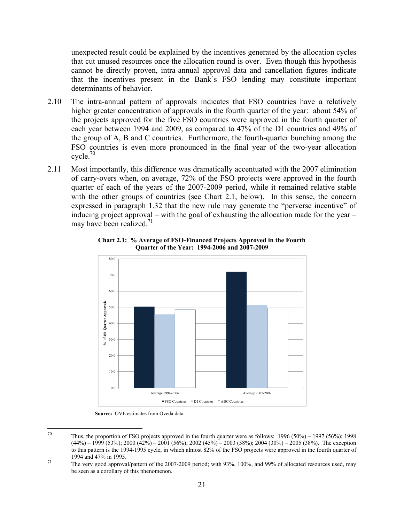unexpected result could be explained by the incentives generated by the allocation cycles that cut unused resources once the allocation round is over. Even though this hypothesis cannot be directly proven, intra-annual approval data and cancellation figures indicate that the incentives present in the Bank's FSO lending may constitute important determinants of behavior.

- 2.10 The intra-annual pattern of approvals indicates that FSO countries have a relatively higher greater concentration of approvals in the fourth quarter of the year: about 54% of the projects approved for the five FSO countries were approved in the fourth quarter of each year between 1994 and 2009, as compared to 47% of the D1 countries and 49% of the group of A, B and C countries. Furthermore, the fourth-quarter bunching among the FSO countries is even more pronounced in the final year of the two-year allocation cycle. $70$
- 2.11 Most importantly, this difference was dramatically accentuated with the 2007 elimination of carry-overs when, on average, 72% of the FSO projects were approved in the fourth quarter of each of the years of the 2007-2009 period, while it remained relative stable with the other groups of countries (see Chart 2.1, below). In this sense, the concern expressed in paragraph 1.32 that the new rule may generate the "perverse incentive" of inducing project approval – with the goal of exhausting the allocation made for the year – may have been realized. $^{71}$



**Chart 2.1: % Average of FSO-Financed Projects Approved in the Fourth Quarter of the Year: 1994-2006 and 2007-2009** 

**Source:** OVE estimates from Oveda data.

<sup>70</sup> Thus, the proportion of FSO projects approved in the fourth quarter were as follows:  $1996 (50%) - 1997 (56%)$ ; 1998  $(44\%)$  – 1999 (53%); 2000 (42%) – 2001 (56%); 2002 (45%) – 2003 (58%); 2004 (30%) – 2005 (38%). The exception to this pattern is the 1994-1995 cycle, in which almost 82% of the FSO projects were approved in the fourth quarter of

<sup>1994</sup> and 47% in 1995.<br>The very good approval/pattern of the 2007-2009 period; with 93%, 100%, and 99% of allocated resources used, may be seen as a corollary of this phenomenon.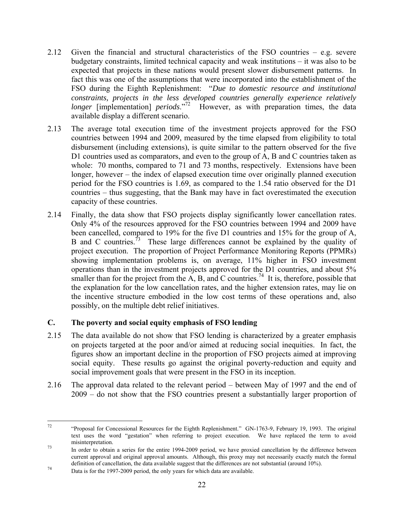- 2.12 Given the financial and structural characteristics of the FSO countries e.g. severe budgetary constraints, limited technical capacity and weak institutions – it was also to be expected that projects in these nations would present slower disbursement patterns. In fact this was one of the assumptions that were incorporated into the establishment of the FSO during the Eighth Replenishment: "*Due to domestic resource and institutional constraints, projects in the less developed countries generally experience relatively longer* [implementation] *periods*."<sup>72</sup> However, as with preparation times, the data available display a different scenario.
- 2.13 The average total execution time of the investment projects approved for the FSO countries between 1994 and 2009, measured by the time elapsed from eligibility to total disbursement (including extensions), is quite similar to the pattern observed for the five D1 countries used as comparators, and even to the group of A, B and C countries taken as whole: 70 months, compared to 71 and 73 months, respectively. Extensions have been longer, however – the index of elapsed execution time over originally planned execution period for the FSO countries is 1.69, as compared to the 1.54 ratio observed for the D1 countries – thus suggesting, that the Bank may have in fact overestimated the execution capacity of these countries.
- 2.14 Finally, the data show that FSO projects display significantly lower cancellation rates. Only 4% of the resources approved for the FSO countries between 1994 and 2009 have been cancelled, compared to 19% for the five D1 countries and 15% for the group of A, B and C countries.<sup>73</sup> These large differences cannot be explained by the quality of project execution. The proportion of Project Performance Monitoring Reports (PPMRs) showing implementation problems is, on average, 11% higher in FSO investment operations than in the investment projects approved for the D1 countries, and about 5% smaller than for the project from the  $\overline{A}$ ,  $\overline{B}$ , and  $\overline{C}$  countries.<sup>74</sup> It is, therefore, possible that the explanation for the low cancellation rates, and the higher extension rates, may lie on the incentive structure embodied in the low cost terms of these operations and, also possibly, on the multiple debt relief initiatives.

## **C. The poverty and social equity emphasis of FSO lending**

- 2.15 The data available do not show that FSO lending is characterized by a greater emphasis on projects targeted at the poor and/or aimed at reducing social inequities. In fact, the figures show an important decline in the proportion of FSO projects aimed at improving social equity. These results go against the original poverty-reduction and equity and social improvement goals that were present in the FSO in its inception.
- 2.16 The approval data related to the relevant period between May of 1997 and the end of 2009 – do not show that the FSO countries present a substantially larger proportion of

 $72\,$ 72 "Proposal for Concessional Resources for the Eighth Replenishment." GN-1763-9, February 19, 1993. The original text uses the word "gestation" when referring to project execution. We have replaced the term to avoid misinterpretation.<br>In order to obtain a series for the entire 1994-2009 period, we have proxied cancellation by the difference between

current approval and original approval amounts. Although, this proxy may not necessarily exactly match the formal definition of cancellation, the data available suggest that the differences are not substantial (around 10%).<br>Data is for the 1997-2009 period, the only years for which data are available.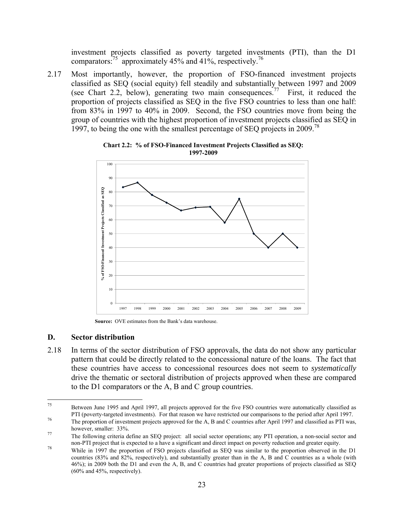investment projects classified as poverty targeted investments (PTI), than the D1 comparators:<sup>75</sup> approximately 45% and 41%, respectively.<sup>76</sup>

2.17 Most importantly, however, the proportion of FSO-financed investment projects classified as SEQ (social equity) fell steadily and substantially between 1997 and 2009 (see Chart 2.2, below), generating two main consequences.<sup>77</sup> First, it reduced the proportion of projects classified as SEQ in the five FSO countries to less than one half: from 83% in 1997 to 40% in 2009. Second, the FSO countries move from being the group of countries with the highest proportion of investment projects classified as SEQ in 1997, to being the one with the smallest percentage of SEQ projects in 2009.78



**Chart 2.2: % of FSO-Financed Investment Projects Classified as SEQ: 1997-2009** 

**Source:** OVE estimates from the Bank's data warehouse.

#### **D. Sector distribution**

2.18 In terms of the sector distribution of FSO approvals, the data do not show any particular pattern that could be directly related to the concessional nature of the loans. The fact that these countries have access to concessional resources does not seem to *systematically* drive the thematic or sectoral distribution of projects approved when these are compared to the D1 comparators or the A, B and C group countries.

<sup>75</sup> 75 Between June 1995 and April 1997, all projects approved for the five FSO countries were automatically classified as PTI (poverty-targeted investments). For that reason we have restricted our comparisons to the period after April 1997.<br>The proportion of investment projects approved for the A, B and C countries after April 1997 and classi

however, smaller: 33%.<br>The following criteria define an SEQ project: all social sector operations; any PTI operation, a non-social sector and<br>non-PTI project that is expected to a have a significant and direct impact on po

<sup>&</sup>lt;sup>78</sup> While in 1997 the proportion of FSO projects classified as SEO was similar to the proportion observed in the D1 countries (83% and 82%, respectively), and substantially greater than in the A, B and C countries as a whole (with 46%); in 2009 both the D1 and even the A, B, and C countries had greater proportions of projects classified as SEQ (60% and 45%, respectively).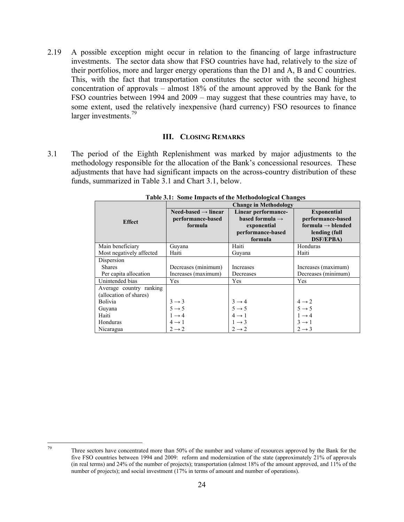2.19 A possible exception might occur in relation to the financing of large infrastructure investments. The sector data show that FSO countries have had, relatively to the size of their portfolios, more and larger energy operations than the D1 and A, B and C countries. This, with the fact that transportation constitutes the sector with the second highest concentration of approvals – almost 18% of the amount approved by the Bank for the FSO countries between 1994 and 2009 – may suggest that these countries may have, to some extent, used the relatively inexpensive (hard currency) FSO resources to finance larger investments.<sup>79</sup>

#### **III. CLOSING REMARKS**

3.1 The period of the Eighth Replenishment was marked by major adjustments to the methodology responsible for the allocation of the Bank's concessional resources. These adjustments that have had significant impacts on the across-country distribution of these funds, summarized in Table 3.1 and Chart 3.1, below.

|                          | <b>Change in Methodology</b>                                    |                                                                                        |                                                                                           |  |
|--------------------------|-----------------------------------------------------------------|----------------------------------------------------------------------------------------|-------------------------------------------------------------------------------------------|--|
| <b>Effect</b>            | Need-based $\rightarrow$ linear<br>performance-based<br>formula | Linear performance-<br>based formula $\rightarrow$<br>exponential<br>performance-based | <b>Exponential</b><br>performance-based<br>formula $\rightarrow$ blended<br>lending (full |  |
|                          |                                                                 | formula                                                                                | <b>DSF/EPBA)</b>                                                                          |  |
| Main beneficiary         | Guvana                                                          | Haiti                                                                                  | Honduras                                                                                  |  |
| Most negatively affected | Haiti                                                           | Guyana                                                                                 | Haiti                                                                                     |  |
| Dispersion               |                                                                 |                                                                                        |                                                                                           |  |
| <b>Shares</b>            | Decreases (minimum)                                             | Increases                                                                              | Increases (maximum)                                                                       |  |
| Per capita allocation    | Increases (maximum)                                             | Decreases                                                                              | Decreases (minimum)                                                                       |  |
| Unintended bias          | Yes                                                             | Yes                                                                                    | Yes                                                                                       |  |
| Average country ranking  |                                                                 |                                                                                        |                                                                                           |  |
| (allocation of shares)   |                                                                 |                                                                                        |                                                                                           |  |
| Bolivia                  | $3 \rightarrow 3$                                               | $3 \rightarrow 4$<br>$5 \rightarrow 5$                                                 | $4 \rightarrow 2$                                                                         |  |
| Guyana                   | $5 \rightarrow 5$                                               |                                                                                        | $5 \rightarrow 5$                                                                         |  |
| Haiti                    | $1 \rightarrow 4$                                               | $4 \rightarrow 1$                                                                      | $1 \rightarrow 4$                                                                         |  |
| Honduras                 | $4 \rightarrow 1$                                               | $1 \rightarrow 3$                                                                      | $3 \rightarrow 1$                                                                         |  |
| Nicaragua                | $2 \rightarrow 2$                                               | $2 \rightarrow 2$                                                                      | $2 \rightarrow 3$                                                                         |  |

**Table 3.1: Some Impacts of the Methodological Changes** 

<sup>79</sup> 

Three sectors have concentrated more than 50% of the number and volume of resources approved by the Bank for the five FSO countries between 1994 and 2009: reform and modernization of the state (approximately 21% of approvals (in real terms) and 24% of the number of projects); transportation (almost 18% of the amount approved, and 11% of the number of projects); and social investment (17% in terms of amount and number of operations).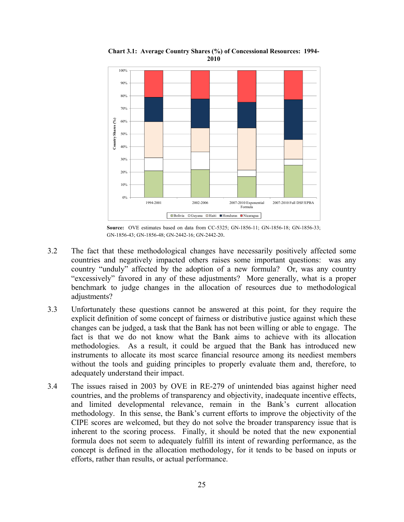

**Chart 3.1: Average Country Shares (%) of Concessional Resources: 1994- 2010**

**Source:** OVE estimates based on data from CC-5325; GN-1856-11; GN-1856-18; GN-1856-33; GN-1856-43; GN-1856-48; GN-2442-16; GN-2442-20.

- 3.2 The fact that these methodological changes have necessarily positively affected some countries and negatively impacted others raises some important questions: was any country "unduly" affected by the adoption of a new formula? Or, was any country "excessively" favored in any of these adjustments? More generally, what is a proper benchmark to judge changes in the allocation of resources due to methodological adjustments?
- 3.3 Unfortunately these questions cannot be answered at this point, for they require the explicit definition of some concept of fairness or distributive justice against which these changes can be judged, a task that the Bank has not been willing or able to engage. The fact is that we do not know what the Bank aims to achieve with its allocation methodologies. As a result, it could be argued that the Bank has introduced new instruments to allocate its most scarce financial resource among its neediest members without the tools and guiding principles to properly evaluate them and, therefore, to adequately understand their impact.
- 3.4 The issues raised in 2003 by OVE in RE-279 of unintended bias against higher need countries, and the problems of transparency and objectivity, inadequate incentive effects, and limited developmental relevance, remain in the Bank's current allocation methodology. In this sense, the Bank's current efforts to improve the objectivity of the CIPE scores are welcomed, but they do not solve the broader transparency issue that is inherent to the scoring process. Finally, it should be noted that the new exponential formula does not seem to adequately fulfill its intent of rewarding performance, as the concept is defined in the allocation methodology, for it tends to be based on inputs or efforts, rather than results, or actual performance.